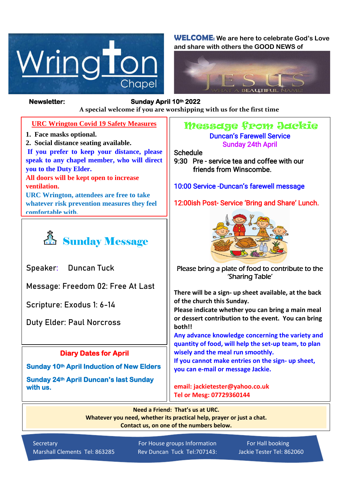

**WELCOME: We are here to celebrate God's Love and share with others the GOOD NEWS of**



## **Newsletter: Sunday April 10th 2022**

*Figure 1ready steady* **A special welcome if you are worshipping with us for the first time**

## **URC Wrington Covid 19 Safety Measures**

- **1. Face masks optional.**
- **2. Social distance seating available.**

**If you prefer to keep your distance, please speak to any chapel member, who will direct you to the Duty Elder. All doors will be kept open to increase** 

**ventilation.**

**URC Wrington, attendees are free to take whatever risk prevention measures they feel comfortable with.**



**Speaker: Duncan Tuck**

**Message: Freedom 02: Free At Last**

**Scripture: Exodus 1: 6-14** 

**Duty Elder: Paul Norcross**

## **Diary Dates for April**

**Sunday 10th April Induction of New Elders** 

**Sunday 24th April Duncan's last Sunday with us.** 

## Message from Jackie Duncan's Farewell Service Sunday 24th April

Schedule

9:30 Pre - service tea and coffee with our friends from Winscombe.

10:00 Service -Duncan's farewell message

12:00ish Post- Service 'Bring and Share' Lunch.



Please bring a plate of food to contribute to the 'Sharing Table'

**There will be a sign- up sheet available, at the back of the church this Sunday.**

**Please indicate whether you can bring a main meal or dessert contribution to the event. You can bring both!!**

**Any advance knowledge concerning the variety and quantity of food, will help the set-up team, to plan wisely and the meal run smoothly.**

**If you cannot make entries on the sign- up sheet, you can e-mail or message Jackie.**

**email: jackietester@yahoo.co.uk Tel or Mesg: 07729360144**

**Need a Friend: That's us at URC. Whatever you need, whether its practical help, prayer or just a chat. Contact us, on one of the numbers below.**

Secretary **For House groups Information** For Hall booking Marshall Clements Tel: 863285 Rev Duncan Tuck Tel:707143: Jackie Tester Tel: 862060 Í